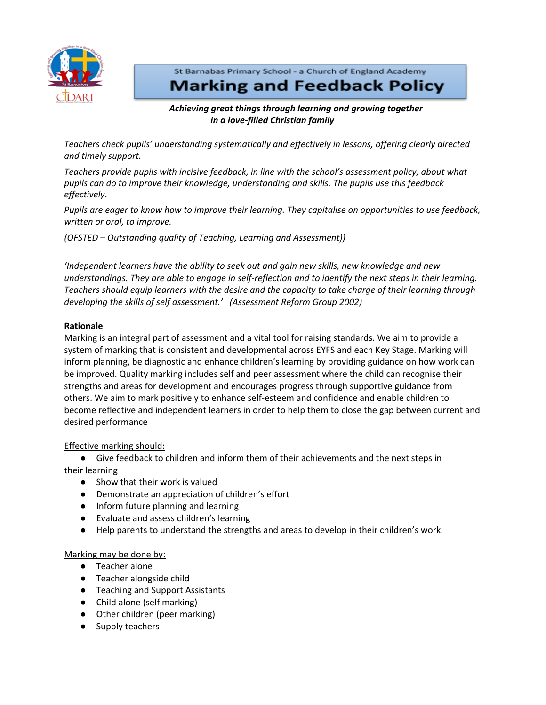

St Barnabas Primary School - a Church of England Academy **Marking and Feedback Policy** 

# *Achieving great things through learning and growing together in a love-filled Christian family*

*Teachers check pupils' understanding systematically and effectively in lessons, offering clearly directed and timely support.*

*Teachers provide pupils with incisive feedback, in line with the school's assessment policy, about what pupils can do to improve their knowledge, understanding and skills. The pupils use this feedback effectively*.

*Pupils are eager to know how to improve their learning. They capitalise on opportunities to use feedback, written or oral, to improve.*

*(OFSTED – Outstanding quality of Teaching, Learning and Assessment))*

*'Independent learners have the ability to seek out and gain new skills, new knowledge and new* understandings. They are able to engage in self-reflection and to identify the next steps in their learning. *Teachers should equip learners with the desire and the capacity to take charge of their learning through developing the skills of self assessment.' (Assessment Reform Group 2002)*

# **Rationale**

Marking is an integral part of assessment and a vital tool for raising standards. We aim to provide a system of marking that is consistent and developmental across EYFS and each Key Stage. Marking will inform planning, be diagnostic and enhance children's learning by providing guidance on how work can be improved. Quality marking includes self and peer assessment where the child can recognise their strengths and areas for development and encourages progress through supportive guidance from others. We aim to mark positively to enhance self-esteem and confidence and enable children to become reflective and independent learners in order to help them to close the gap between current and desired performance

Effective marking should:

● Give feedback to children and inform them of their achievements and the next steps in their learning

- Show that their work is valued
- Demonstrate an appreciation of children's effort
- Inform future planning and learning
- Evaluate and assess children's learning
- Help parents to understand the strengths and areas to develop in their children's work.

## Marking may be done by:

- Teacher alone
- Teacher alongside child
- Teaching and Support Assistants
- Child alone (self marking)
- Other children (peer marking)
- Supply teachers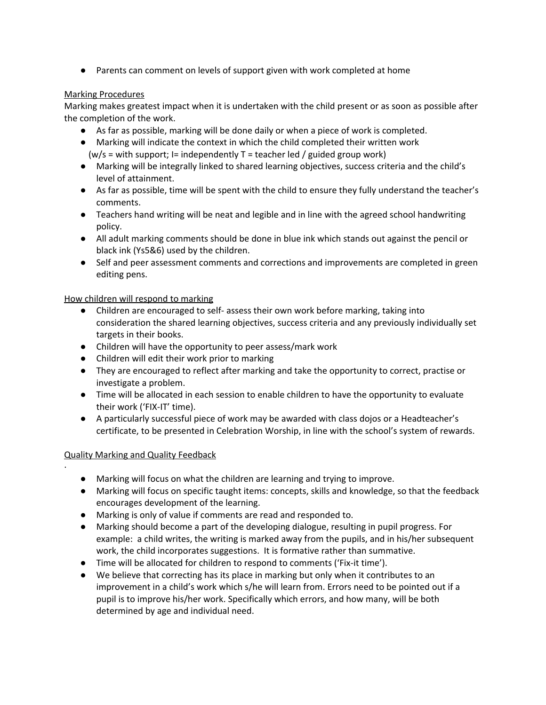● Parents can comment on levels of support given with work completed at home

# Marking Procedures

Marking makes greatest impact when it is undertaken with the child present or as soon as possible after the completion of the work.

- As far as possible, marking will be done daily or when a piece of work is completed.
- Marking will indicate the context in which the child completed their written work  $(w/s = with support; I = independently T = teacher led / guided group work)$
- Marking will be integrally linked to shared learning objectives, success criteria and the child's level of attainment.
- As far as possible, time will be spent with the child to ensure they fully understand the teacher's comments.
- Teachers hand writing will be neat and legible and in line with the agreed school handwriting policy.
- All adult marking comments should be done in blue ink which stands out against the pencil or black ink (Ys5&6) used by the children.
- Self and peer assessment comments and corrections and improvements are completed in green editing pens.

# How children will respond to marking

- Children are encouraged to self- assess their own work before marking, taking into consideration the shared learning objectives, success criteria and any previously individually set targets in their books.
- Children will have the opportunity to peer assess/mark work
- Children will edit their work prior to marking
- They are encouraged to reflect after marking and take the opportunity to correct, practise or investigate a problem.
- Time will be allocated in each session to enable children to have the opportunity to evaluate their work ('FIX-IT' time).
- A particularly successful piece of work may be awarded with class dojos or a Headteacher's certificate, to be presented in Celebration Worship, in line with the school's system of rewards.

## Quality Marking and Quality Feedback

·

- Marking will focus on what the children are learning and trying to improve.
- Marking will focus on specific taught items: concepts, skills and knowledge, so that the feedback encourages development of the learning.
- Marking is only of value if comments are read and responded to.
- Marking should become a part of the developing dialogue, resulting in pupil progress. For example: a child writes, the writing is marked away from the pupils, and in his/her subsequent work, the child incorporates suggestions. It is formative rather than summative.
- Time will be allocated for children to respond to comments ('Fix-it time').
- We believe that correcting has its place in marking but only when it contributes to an improvement in a child's work which s/he will learn from. Errors need to be pointed out if a pupil is to improve his/her work. Specifically which errors, and how many, will be both determined by age and individual need.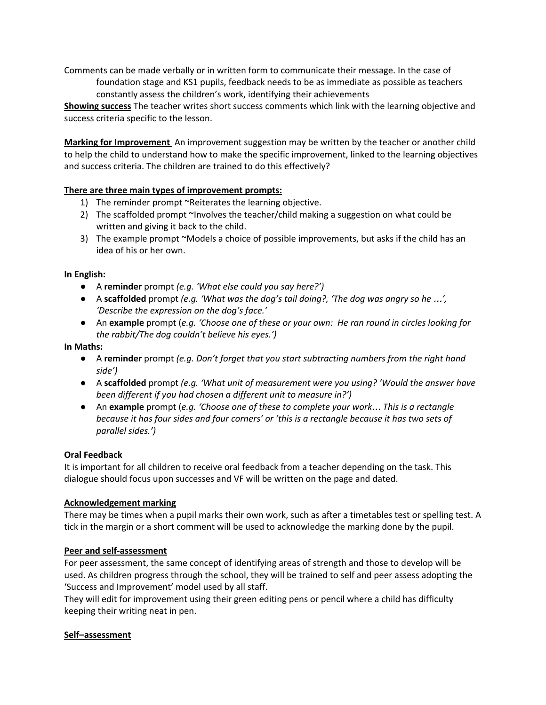Comments can be made verbally or in written form to communicate their message. In the case of foundation stage and KS1 pupils, feedback needs to be as immediate as possible as teachers constantly assess the children's work, identifying their achievements

**Showing success** The teacher writes short success comments which link with the learning objective and success criteria specific to the lesson.

**Marking for Improvement** An improvement suggestion may be written by the teacher or another child to help the child to understand how to make the specific improvement, linked to the learning objectives and success criteria. The children are trained to do this effectively?

# **There are three main types of improvement prompts:**

- 1) The reminder prompt ~Reiterates the learning objective.
- 2) The scaffolded prompt ~Involves the teacher/child making a suggestion on what could be written and giving it back to the child.
- 3) The example prompt ~Models a choice of possible improvements, but asks if the child has an idea of his or her own.

## **In English:**

- *●* A **reminder** prompt *(e.g. 'What else could you say here?')*
- *●* A **scaffolded** prompt *(e.g. 'What was the dog's tail doing?, 'The dog was angry so he* …*', 'Describe the expression on the dog's face.'*
- *●* An **example** prompt (*e.g. 'Choose one of these or your own: He ran round in circles looking for the rabbit/The dog couldn't believe his eyes.')*

#### **In Maths:**

- *●* A **reminder** prompt *(e.g. Don't forget that you start subtracting numbers from the right hand side')*
- *●* A **scaffolded** prompt *(e.g. 'What unit of measurement were you using? 'Would the answer have been different if you had chosen a different unit to measure in?')*
- *●* An **example** prompt (*e.g. 'Choose one of these to complete your work*… *This is a rectangle* because it has four sides and four corners' or 'this is a rectangle because it has two sets of *parallel sides.')*

## **Oral Feedback**

It is important for all children to receive oral feedback from a teacher depending on the task. This dialogue should focus upon successes and VF will be written on the page and dated.

## **Acknowledgement marking**

There may be times when a pupil marks their own work, such as after a timetables test or spelling test. A tick in the margin or a short comment will be used to acknowledge the marking done by the pupil.

## **Peer and self-assessment**

For peer assessment, the same concept of identifying areas of strength and those to develop will be used. As children progress through the school, they will be trained to self and peer assess adopting the 'Success and Improvement' model used by all staff.

They will edit for improvement using their green editing pens or pencil where a child has difficulty keeping their writing neat in pen.

## **Self–assessment**